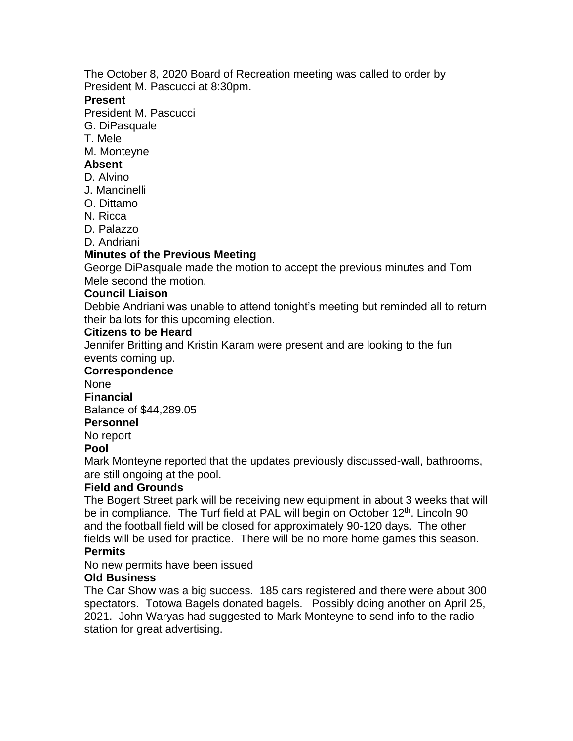The October 8, 2020 Board of Recreation meeting was called to order by President M. Pascucci at 8:30pm.

## **Present**

President M. Pascucci

- G. DiPasquale
- T. Mele
- M. Monteyne

# **Absent**

- D. Alvino
- J. Mancinelli
- O. Dittamo
- N. Ricca
- D. Palazzo
- D. Andriani

## **Minutes of the Previous Meeting**

George DiPasquale made the motion to accept the previous minutes and Tom Mele second the motion.

### **Council Liaison**

Debbie Andriani was unable to attend tonight's meeting but reminded all to return their ballots for this upcoming election.

### **Citizens to be Heard**

Jennifer Britting and Kristin Karam were present and are looking to the fun events coming up.

## **Correspondence**

None

**Financial**

Balance of \$44,289.05

# **Personnel**

No report

#### **Pool**

Mark Monteyne reported that the updates previously discussed-wall, bathrooms, are still ongoing at the pool.

## **Field and Grounds**

The Bogert Street park will be receiving new equipment in about 3 weeks that will be in compliance. The Turf field at PAL will begin on October 12<sup>th</sup>. Lincoln 90 and the football field will be closed for approximately 90-120 days. The other fields will be used for practice. There will be no more home games this season.

## **Permits**

No new permits have been issued

## **Old Business**

The Car Show was a big success. 185 cars registered and there were about 300 spectators. Totowa Bagels donated bagels. Possibly doing another on April 25, 2021. John Waryas had suggested to Mark Monteyne to send info to the radio station for great advertising.